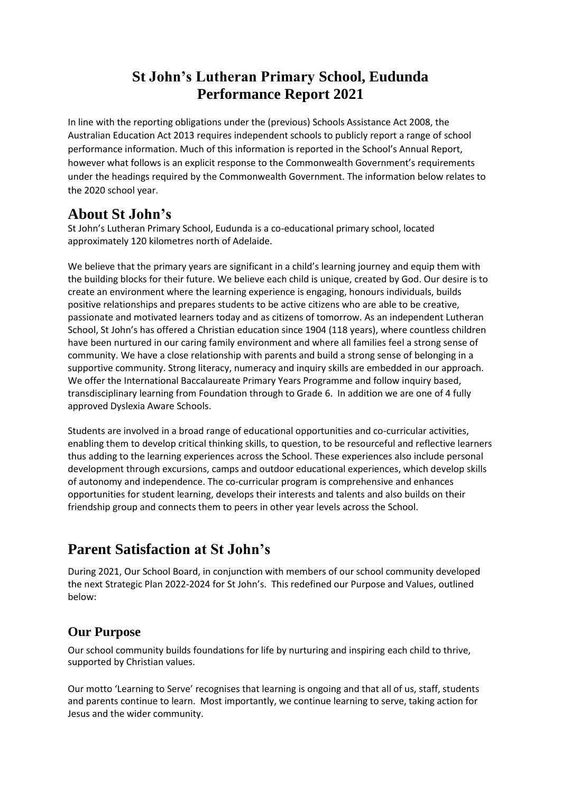## **St John's Lutheran Primary School, Eudunda Performance Report 2021**

In line with the reporting obligations under the (previous) Schools Assistance Act 2008, the Australian Education Act 2013 requires independent schools to publicly report a range of school performance information. Much of this information is reported in the School's Annual Report, however what follows is an explicit response to the Commonwealth Government's requirements under the headings required by the Commonwealth Government. The information below relates to the 2020 school year.

## **About St John's**

St John's Lutheran Primary School, Eudunda is a co-educational primary school, located approximately 120 kilometres north of Adelaide.

We believe that the primary years are significant in a child's learning journey and equip them with the building blocks for their future. We believe each child is unique, created by God. Our desire is to create an environment where the learning experience is engaging, honours individuals, builds positive relationships and prepares students to be active citizens who are able to be creative, passionate and motivated learners today and as citizens of tomorrow. As an independent Lutheran School, St John's has offered a Christian education since 1904 (118 years), where countless children have been nurtured in our caring family environment and where all families feel a strong sense of community. We have a close relationship with parents and build a strong sense of belonging in a supportive community. Strong literacy, numeracy and inquiry skills are embedded in our approach. We offer the International Baccalaureate Primary Years Programme and follow inquiry based, transdisciplinary learning from Foundation through to Grade 6. In addition we are one of 4 fully approved Dyslexia Aware Schools.

Students are involved in a broad range of educational opportunities and co-curricular activities, enabling them to develop critical thinking skills, to question, to be resourceful and reflective learners thus adding to the learning experiences across the School. These experiences also include personal development through excursions, camps and outdoor educational experiences, which develop skills of autonomy and independence. The co-curricular program is comprehensive and enhances opportunities for student learning, develops their interests and talents and also builds on their friendship group and connects them to peers in other year levels across the School.

# **Parent Satisfaction at St John's**

During 2021, Our School Board, in conjunction with members of our school community developed the next Strategic Plan 2022-2024 for St John's. This redefined our Purpose and Values, outlined below:

### **Our Purpose**

Our school community builds foundations for life by nurturing and inspiring each child to thrive, supported by Christian values.

Our motto 'Learning to Serve' recognises that learning is ongoing and that all of us, staff, students and parents continue to learn. Most importantly, we continue learning to serve, taking action for Jesus and the wider community.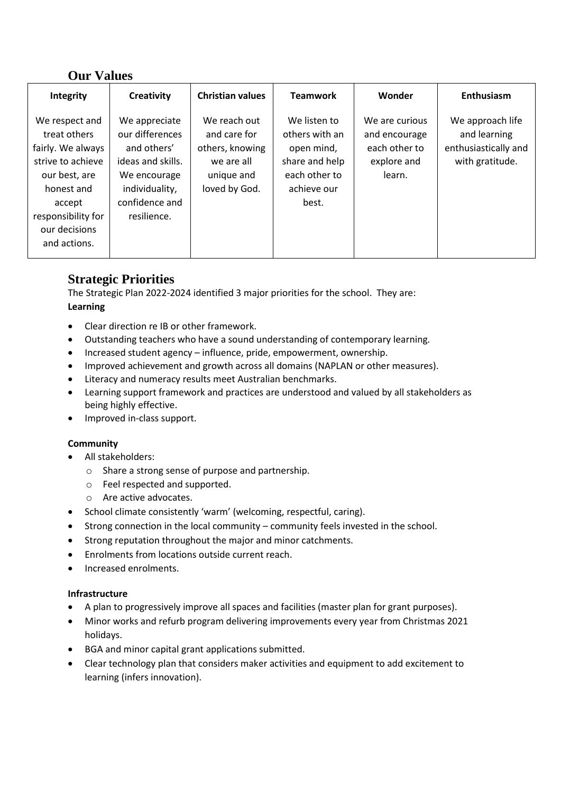### **Our Values**

| Integrity                                                                                                                                                                | Creativity                                                                                                                              | <b>Christian values</b>                                                                      | <b>Teamwork</b>                                                                                         | Wonder                                                                    | Enthusiasm                                                                  |
|--------------------------------------------------------------------------------------------------------------------------------------------------------------------------|-----------------------------------------------------------------------------------------------------------------------------------------|----------------------------------------------------------------------------------------------|---------------------------------------------------------------------------------------------------------|---------------------------------------------------------------------------|-----------------------------------------------------------------------------|
| We respect and<br>treat others<br>fairly. We always<br>strive to achieve<br>our best, are<br>honest and<br>accept<br>responsibility for<br>our decisions<br>and actions. | We appreciate<br>our differences<br>and others'<br>ideas and skills.<br>We encourage<br>individuality,<br>confidence and<br>resilience. | We reach out<br>and care for<br>others, knowing<br>we are all<br>unique and<br>loved by God. | We listen to<br>others with an<br>open mind,<br>share and help<br>each other to<br>achieve our<br>best. | We are curious<br>and encourage<br>each other to<br>explore and<br>learn. | We approach life<br>and learning<br>enthusiastically and<br>with gratitude. |

### **Strategic Priorities**

The Strategic Plan 2022-2024 identified 3 major priorities for the school. They are: **Learning** 

- Clear direction re IB or other framework.
- Outstanding teachers who have a sound understanding of contemporary learning.
- Increased student agency influence, pride, empowerment, ownership.
- Improved achievement and growth across all domains (NAPLAN or other measures).
- Literacy and numeracy results meet Australian benchmarks.
- Learning support framework and practices are understood and valued by all stakeholders as being highly effective.
- Improved in-class support.

#### **Community**

- All stakeholders:
	- o Share a strong sense of purpose and partnership.
	- o Feel respected and supported.
	- o Are active advocates.
- School climate consistently 'warm' (welcoming, respectful, caring).
- Strong connection in the local community community feels invested in the school.
- Strong reputation throughout the major and minor catchments.
- Enrolments from locations outside current reach.
- Increased enrolments.

#### **Infrastructure**

- A plan to progressively improve all spaces and facilities (master plan for grant purposes).
- Minor works and refurb program delivering improvements every year from Christmas 2021 holidays.
- BGA and minor capital grant applications submitted.
- Clear technology plan that considers maker activities and equipment to add excitement to learning (infers innovation).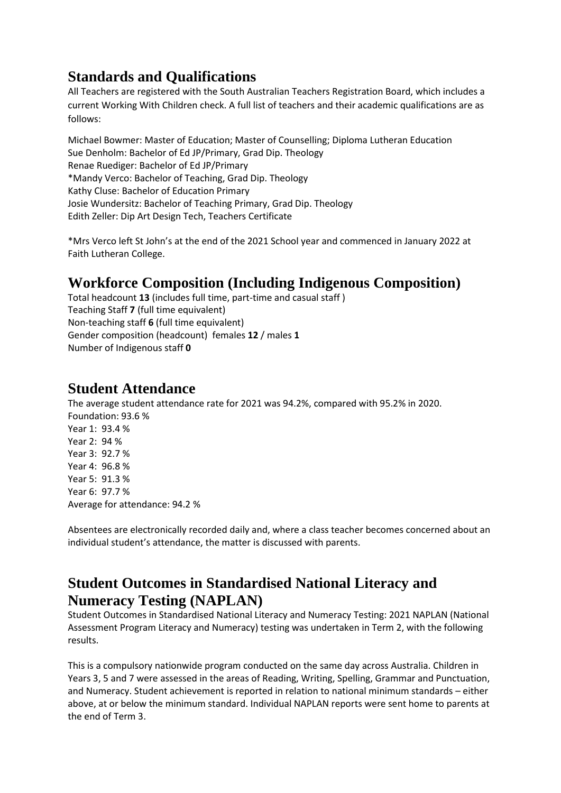## **Standards and Qualifications**

All Teachers are registered with the South Australian Teachers Registration Board, which includes a current Working With Children check. A full list of teachers and their academic qualifications are as follows:

Michael Bowmer: Master of Education; Master of Counselling; Diploma Lutheran Education Sue Denholm: Bachelor of Ed JP/Primary, Grad Dip. Theology Renae Ruediger: Bachelor of Ed JP/Primary \*Mandy Verco: Bachelor of Teaching, Grad Dip. Theology Kathy Cluse: Bachelor of Education Primary Josie Wundersitz: Bachelor of Teaching Primary, Grad Dip. Theology Edith Zeller: Dip Art Design Tech, Teachers Certificate

\*Mrs Verco left St John's at the end of the 2021 School year and commenced in January 2022 at Faith Lutheran College.

## **Workforce Composition (Including Indigenous Composition)**

Total headcount **13** (includes full time, part-time and casual staff ) Teaching Staff **7** (full time equivalent) Non-teaching staff **6** (full time equivalent) Gender composition (headcount) females **12** / males **1** Number of Indigenous staff **0**

### **Student Attendance**

The average student attendance rate for 2021 was 94.2%, compared with 95.2% in 2020. Foundation: 93.6 % Year 1: 93.4 % Year 2: 94 % Year 3: 92.7 % Year 4: 96.8 % Year 5: 91.3 % Year 6: 97.7 % Average for attendance: 94.2 %

Absentees are electronically recorded daily and, where a class teacher becomes concerned about an individual student's attendance, the matter is discussed with parents.

## **Student Outcomes in Standardised National Literacy and Numeracy Testing (NAPLAN)**

Student Outcomes in Standardised National Literacy and Numeracy Testing: 2021 NAPLAN (National Assessment Program Literacy and Numeracy) testing was undertaken in Term 2, with the following results.

This is a compulsory nationwide program conducted on the same day across Australia. Children in Years 3, 5 and 7 were assessed in the areas of Reading, Writing, Spelling, Grammar and Punctuation, and Numeracy. Student achievement is reported in relation to national minimum standards – either above, at or below the minimum standard. Individual NAPLAN reports were sent home to parents at the end of Term 3.